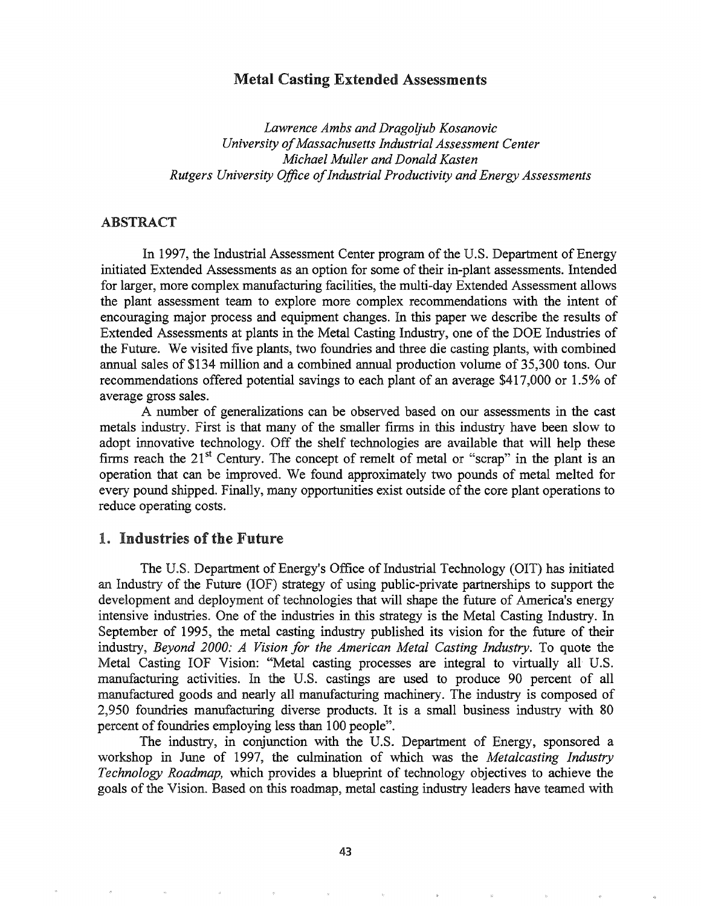# Metal Casting Extended Assessments

*Lawrence Ambs and Dragoljub Kosanovic University ofMassachusetts Industrial Assessment Center Michael Muller and Donald Kasten Rutgers University Office ofIndustrial Productivity and Energy Assessments*

# ABSTRACT

In 1997, the Industrial Assessment Center program of the U.S. Department of Energy initiated Extended Assessments as an option for some of their in-plant assessments. Intended for larger, more complex manufacturing facilities, the multi-day Extended Assessment allows the plant assessment team to explore more complex recommendations with the intent of encouraging major process and equipment changes. In this paper we describe the results of Extended Assessments at plants in the Metal Casting Industry, one of the DOE Industries of the Future. We visited five plants, two foundries and three die casting plants, with combined annual sales of \$134 million and a combined annual production volume of 35,300 tons. Our recommendations offered potential savings to each plant of an average \$417,000 or 1.5% of average gross sales..

A number of generalizations can be observed based on our assessments in the cast metals industry. First is that many of the smaller firms in this industry have been slow to adopt innovative technology. Off the shelf technologies are available that will help these firms reach the  $21<sup>st</sup>$  Century. The concept of remelt of metal or "scrap" in the plant is an operation that can be improved. We found approximately two pounds of metal melted for every pound shipped. Finally, many opportunities exist outside of the core plant operations to reduce operating costs.

# 1. Industries of the Future.

The U.S. Department of Energy's Office of Industrial Technology (OIT) has initiated an Industry of the Future (IOF) strategy of using public-private partnerships to support the development and deployment of technologies that will shape the future of America's energy intensive industries. One of the industries in this strategy is the Metal Casting Industry. In September of 1995, the metal casting industry published its vision for the future of their industry, *Beyond 2000.° A Vision for the American Metal Casting Industry.* To quote the Metal Casting IOF Vision: "Metal casting processes are integral to virtually all' U.S. manufacturing activities. In the U.S. castings are used to produce 90 percent of all manufactured goods and nearly all manufacturing machinery. The industry is composed of 2,950 foundries manufacturing diverse products. It is a small business industry with 80 percent of foundries employing less than 100 people".

The industry, in conjunction with the U.S. Department of Energy, sponsored a workshop in June of 1997, the culmination of which was the *Meta/casting Industry Technology Roadmap,* which provides a blueprint of technology objectives to achieve the goals of the Vision. Based on this roadmap, metal casting industry leaders have teamed with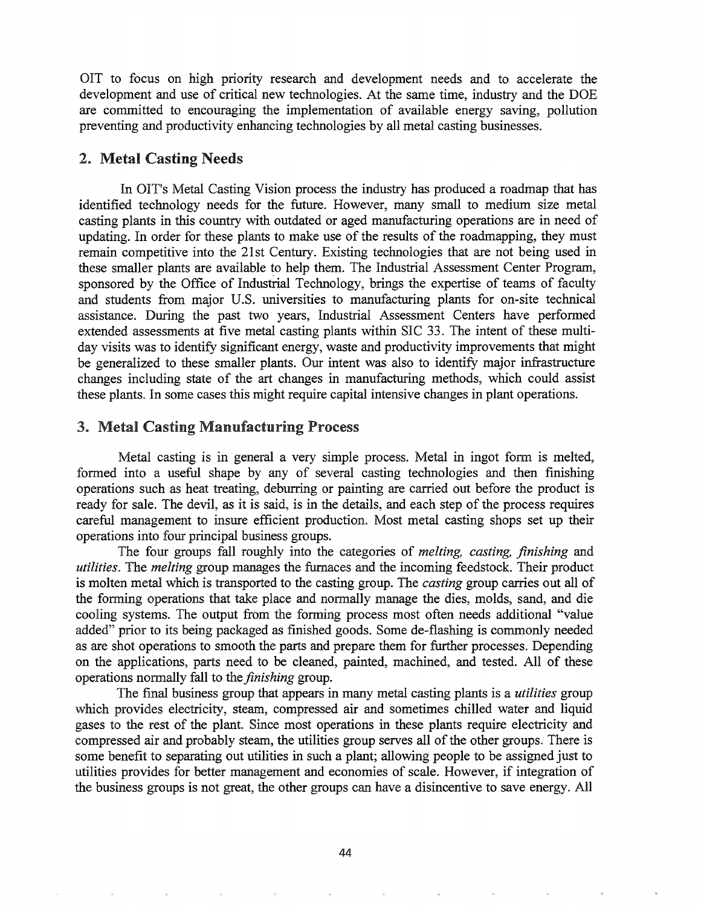OIT to focus on high priority research and development needs and to accelerate the development and use of critical new technologies. At the same time, industry and the DOE are committed to encouraging the implementation of available energy saving, pollution preventing and productivity enhancing technologies by all metal casting businesses.

## 2. Metal Casting Needs

In OIT's Metal Casting Vision process the industry has produced a roadmap that has identified technology needs for the future. However, many small to medium size metal casting plants in this country with outdated or aged manufacturing operations are in need of updating. In order for these plants to make use of the results of the roadmapping, they must remain competitive into the 21st Century. Existing technologies that are not being used in these smaller plants are available to help them. The Industrial Assessment Center Program, sponsored by the Office of Industrial Technology, brings the expertise of teams of faculty and students from major U.S. universities to manufacturing plants for on-site technical assistance. During the past two years, Industrial Assessment Centers have performed extended assessments at five metal casting plants within SIC 33. The intent of these multiday visits was to identify significant energy, waste and productivity improvements that might be generalized to these smaller plants. Our intent was also to identify major infrastructure changes including state of the art changes in manufacturing methods, which could assist these plants. In some cases this might require capital intensive changes in plant operations.

## Metal Casting Manufacturing Process

Metal casting is in general a very simple process. Metal in ingot form is melted, fonned into a useful shape by any of several casting technologies and then finishing operations such as heat treating, deburring or painting are carried out before the product is ready for sale. The devil, as it is said, is in the details, and each step of the process requires careful management to insure efficient production. Most metal casting shops set up their operations into four principal business groups.

The four groups fall roughly into the categories of *melting, casting, finishing* and *utilities.* The *melting* group manages the furnaces and the incoming feedstock. Their product is molten metal which is transported to the casting group. The *casting* group carries out all of the forming operations that take place and normally manage the dies, molds, sand, and die cooling systems. The output from the forming process most often needs additional "value added" prior to its being packaged as finished goods. Some de-flashing is commonly needed as are shot operations to smooth the parts and prepare them for further processes. Depending on the applications, parts need to be cleaned, painted, machined, and tested. All of these operations normally fall to the *finishing* group.

The final business group that appears in many metal casting plants is a *utilities* group which provides electricity, steam, compressed air and sometimes chilled water and liquid gases to the rest of the plant. Since most operations in these plants require electricity and compressed air and probably steam, the utilities group serves all of the other groups. There is some benefit to separating out utilities in such a plant; allowing people to be assigned just to utilities provides for better management and economies of scale. However, if integration of the business groups is not great, the other groups can have a disincentive to save energy. All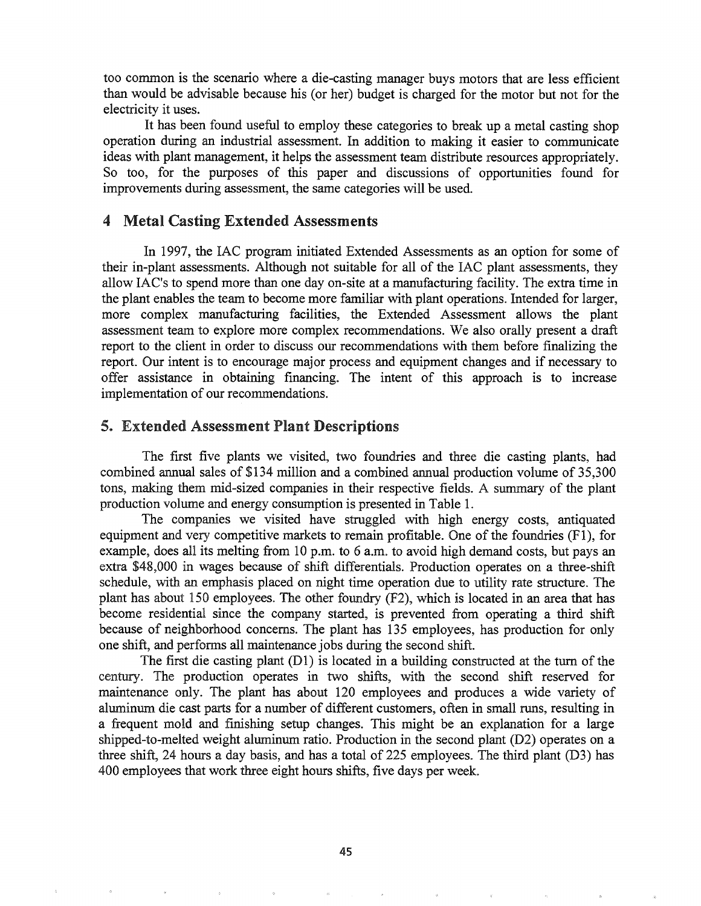too common is the scenario where a die-casting manager buys motors that are less efficient than would be advisable because his (or her) budget is charged for the motor but not for the electricity it uses.

It has been found useful to employ these categories to break up a metal casting shop operation during an industrial assessment. In addition to making it easier to communicate ideas with plant management, it helps the assessment team distribute resources appropriately. So too, for the purposes of this paper and discussions of opportunities found for improvements during assessment, the same categories will be used.

# 4 Metal Casting Extended Assessments

In 1997, the lAC program initiated Extended Assessments as an option for some of their in-plant assessments. Although not suitable for all of the lAC plant assessments, they allow lAC's to spend more than one day on-site at a manufacturing facility. The extra time in the plant enables the team to become more familiar with plant operations. Intended for larger, more complex manufacturing facilities, the Extended Assessment allows the plant assessment team to explore more complex recommendations. We also orally present a draft report to the client in order to discuss our recommendations with them before finalizing the report. Our intent is to encourage major process and equipment changes and if necessary to offer assistance in obtaining financing. The intent of this approach is to increase implementation of our recommendations.

## Extended Assessment Plant Descriptions

The first five plants we visited, two foundries and three die casting plants, had combined annual sales of \$134 million and a combined annual production volume of 35,300 tons, making them mid-sized companies in their respective fields. A summary of the plant production volume and energy consumption is presented in Table 1.

The companies we visited have struggled with high energy costs, antiquated equipment and very competitive markets to remain profitable. One of the foundries (F1), for example, does all its melting from 10 p.m. to 6 a.m. to avoid high demand costs, but pays an extra \$48,000 in wages because of shift differentials. Production operates on a three-shift schedule, with an emphasis placed on night time operation due to utility rate structure. The plant has about 150 employees. The other foundry (F2), which is located in an area that has become residential since the company started, is prevented from operating a third shift because of neighborhood concerns. The plant has 135 employees, has production for only one shift, and perfonns all maintenance jobs during the second shift.

The first die casting plant  $(D1)$  is located in a building constructed at the turn of the century. The production operates in two shifts, with the second shift reserved for maintenance only. The plant has about 120 employees and produces a wide variety of aluminum die cast parts for a number of different customers, often in small runs, resulting in a frequent mold and finishing setup changes. This might be an explanation for a large shipped-to-melted weight aluminum ratio. Production in the second plant (D2) operates on a three shift, 24 hours a day basis, and has a total of 225 employees. The third plant (D3) has 400 employees that work three eight hours shifts, five days per week.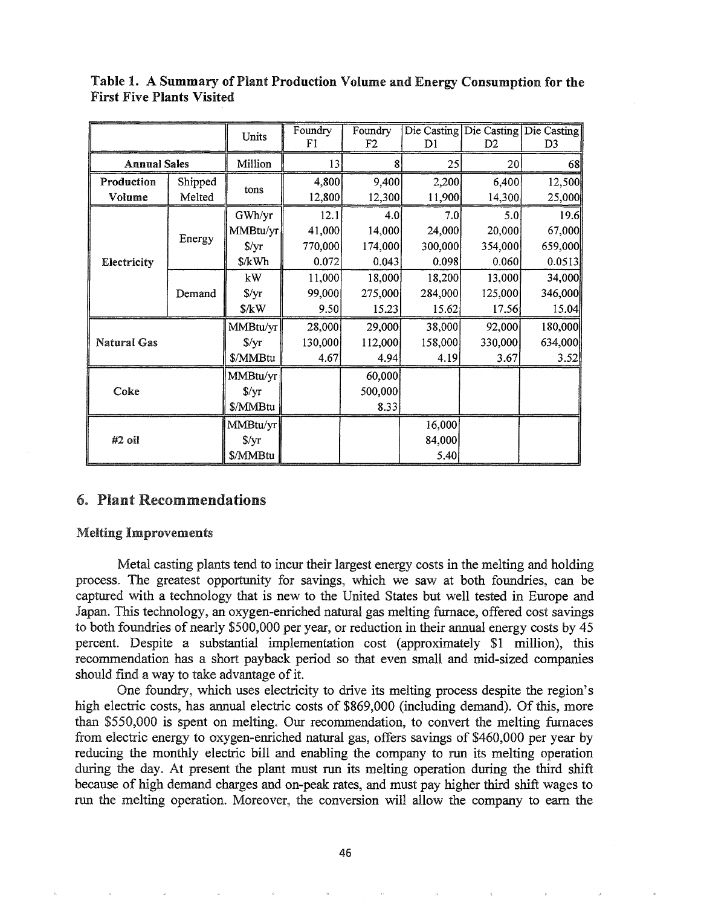|                     |         | Units          | Foundry<br>F1 | Foundry<br>F <sub>2</sub> | D <sub>1</sub> | D <sub>2</sub> | Die Casting Die Casting Die Casting<br>D <sub>3</sub> |
|---------------------|---------|----------------|---------------|---------------------------|----------------|----------------|-------------------------------------------------------|
| <b>Annual Sales</b> |         | Million        | 13            | 8                         | 25             | 20             | 68                                                    |
| Production          | Shipped | tons           | 4,800         | 9,400                     | 2,200          | 6,400          | 12,500                                                |
| Volume              | Melted  |                | 12,800        | 12,300                    | 11,900         | 14,300         | 25,000                                                |
|                     |         | GWh/yr         | 12.1          | 4.0                       | 7.0            | 5.0            | 19.6                                                  |
|                     |         | MMBtu/yr       | 41,000        | 14,000                    | 24,000         | 20,000         | 67,000                                                |
|                     | Energy  | $\sqrt{$}$ /yr | 770,000       | 174,000                   | 300,000        | 354,000        | 659,000                                               |
| Electricity         |         | \$/kWh         | 0.072         | 0.043                     | 0.098          | 0.060          | 0.0513                                                |
|                     | Demand  | kW             | 11,000        | 18,000                    | 18,200         | 13,000         | 34,000                                                |
|                     |         | $\sqrt{$yr}$   | 99,000        | 275,000                   | 284,000        | 125,000        | 346,000                                               |
|                     |         | \$/kW          | 9.50          | 15.23                     | 15.62          | 17.56          | 15.04                                                 |
|                     |         | MMBtu/yr       | 28,000        | 29,000                    | 38,000         | 92,000         | 180,000                                               |
| <b>Natural Gas</b>  |         | $\sqrt{$}$ /yr | 130,000       | 112,000                   | 158,000        | 330,000        | 634,000                                               |
|                     |         | \$/MMBtu       | 4.67          | 4.94                      | 4.19           | 3.67           | 3.52                                                  |
| Coke                |         | MMBtu/yr       |               | 60,000                    |                |                |                                                       |
|                     |         | $\sqrt{$}$ /yr |               | 500,000                   |                |                |                                                       |
|                     |         | \$/MMBtu       |               | 8.33                      |                |                |                                                       |
| #2 oil              |         | MMBtu/yr       |               |                           | 16,000         |                |                                                       |
|                     |         | $\sqrt{$}$ /yr |               |                           | 84,000         |                |                                                       |
|                     |         | \$/MMBtu       |               |                           | 5.40           |                |                                                       |

Table 1. A Summary of Plant Production Volume and Energy Consumption for the First Five Plants Visited

# 6~ Plant Recommendations

## Melting Improvements

Metal casting plants tend to incur their largest energy costs in the melting and holding process.. The greatest opportunity for savings, which we saw at both foundries, can be captured with a technology that is new to the United States but well tested in Europe and Japan. This technology, an oxygen-enriched natural gas melting furnace, offered cost savings to both foundries of nearly \$500,000 per year, or reduction in their annual energy costs by 45 percent. Despite a substantial implementation cost (approximately \$1 million), this recommendation has a short payback period so that even small and mid-sized companies should find a way to take advantage of it.

One foundry, which uses electricity to drive its melting process despite the region's high electric costs, has annual electric costs of \$869,000 (including demand). Of this, more than \$550,000 is spent on melting. Our recommendation, to convert the melting furnaces from electric energy to oxygen-enriched natural gas, offers savings of \$460,000 per year by reducing the monthly electric bill and enabling the company to run its melting operation during the day. At present the plant must run its melting operation during the third shift because of high demand charges and on-peak rates, and must pay higher third shift wages to run the melting operation. Moreover, the conversion will allow the company to earn the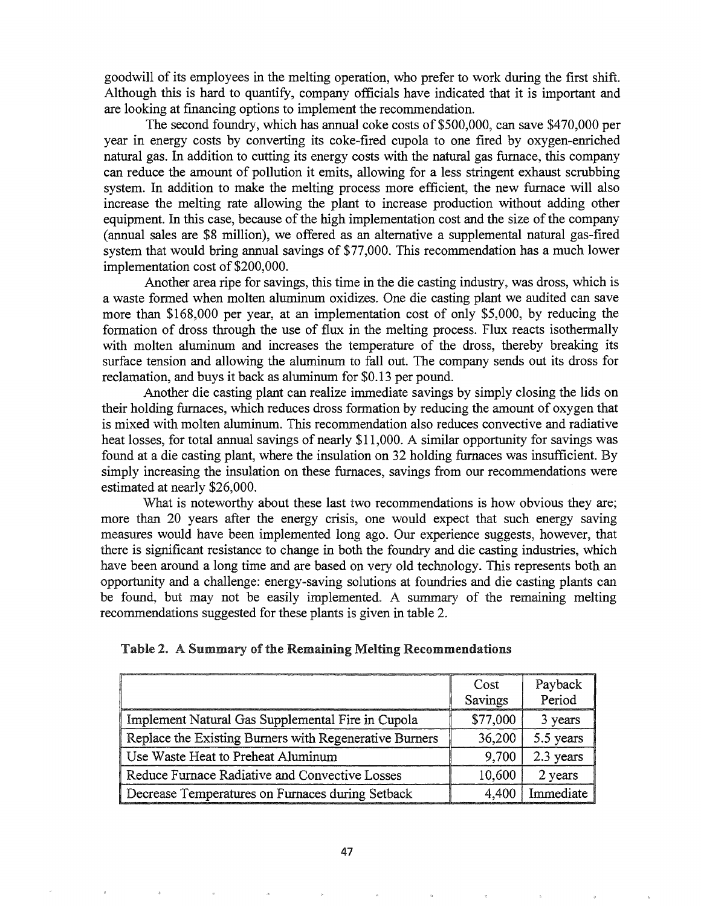goodwill of its employees in the melting operation, who prefer to work during the first shift. Although this is hard to quantify, company officials have indicated that it is important and are looking at financing options to implement the recommendation.

The second foundry, which has annual coke costs of \$500,000, can save \$470,000 per year in energy costs by converting its coke-fired cupola to one fired by oxygen-enriched natural gas. In addition to cutting its energy costs with the natural gas furnace, this company can reduce the amount of pollution it emits, allowing for a less stringent exhaust scrubbing system. In addition to make the melting process more efficient, the new furnace will also increase the melting rate allowing the plant to increase production without adding other equipment. In this case, because of the high implementation cost and the size of the company (annual sales are \$8 million), we offered as an alternative a supplemental natural gas-fired system that would bring annual savings of \$77,000. This recommendation has a much lower implementation cost of \$200,000.

Another area ripe for savings, this time in the die casting industry, was dross, which is a waste formed when molten aluminum oxidizes. One die casting plant we audited can save more than \$168,000 per year, at an implementation cost of only \$5,000, by reducing the formation of dross through the use of flux in the melting process. Flux reacts isothermally with molten aluminum and increases the temperature of the dross, thereby breaking its surface tension and allowing the aluminum to fall out. The company sends out its dross for reclamation, and buys it back as aluminum for \$0.13 per pound.

Another die casting plant can realize immediate savings by simply closing the lids on their holding furnaces, which reduces dross formation by reducing the amount of oxygen that is mixed with molten aluminum. This recommendation also reduces convective and radiative heat losses, for total annual savings of nearly \$11,000. A similar opportunity for savings was found at a die casting plant, where the insulation on 32 holding furnaces was insufficient. By simply increasing the insulation on these furnaces, savings from our recommendations were estimated at nearly \$26,000.

What is noteworthy about these last two recommendations is how obvious they are; more than 20 years after the energy crisis, one would expect that such energy saving measures would have been implemented long ago. Our experience suggests, however, that there is significant resistance to change in both the foundry and die casting industries, which have been around a long time and are based on very old technology. This represents both an opportunity and a challenge: energy-saving solutions at foundries and die casting plants can be found, but may not be easily implemented. A summary of the remaining melting recommendations suggested for these plants is given in table 2.

|  |  | Table 2. A Summary of the Remaining Melting Recommendations |
|--|--|-------------------------------------------------------------|
|  |  |                                                             |

|                                                        | Cost<br>Savings | Payback<br>Period |
|--------------------------------------------------------|-----------------|-------------------|
| Implement Natural Gas Supplemental Fire in Cupola      | \$77,000        | 3 years           |
| Replace the Existing Burners with Regenerative Burners | 36,200          | 5.5 years         |
| Use Waste Heat to Preheat Aluminum                     | 9,700           | 2.3 years         |
| Reduce Furnace Radiative and Convective Losses         | 10,600          | 2 years           |
| Decrease Temperatures on Furnaces during Setback       | 4,400           | Immediate         |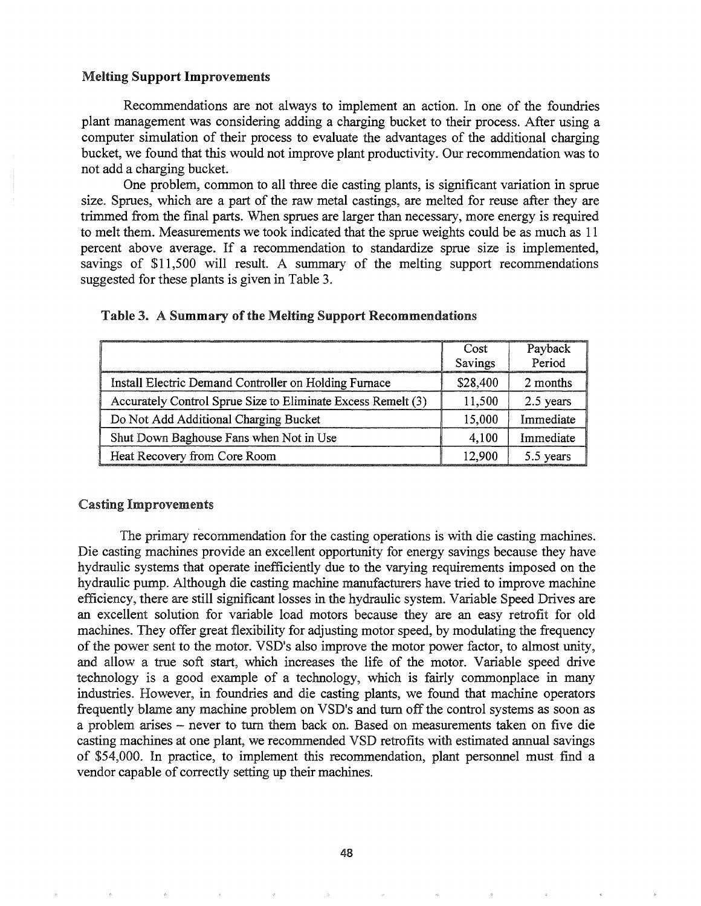## Melting Support Improvements

Recommendations are not always to implement an action. In one of the foundries plant management was considering adding a charging bucket to their process. After using a computer simulation of their process to evaluate the advantages of the additional charging bucket, we found that this would not improve plant productivity. Our recommendation was to not add a charging bucket.

One problem, common to all three die casting plants, is significant variation in sprue size. Sprues, which are a part of the raw metal castings, are melted for reuse after they are trimmed from the final parts. When sprues are larger than necessary, more energy is required to melt them. Measurements we took indicated that the sprue weights could be as much as 11 percent above average. If a recommendation to standardize sprue size is implemented, savings of \$11,500 will result. A summary of the melting support recommendations suggested for these plants is given in Table 3.

|                                                              | Cost     | Payback   |
|--------------------------------------------------------------|----------|-----------|
|                                                              | Savings  | Period    |
| Install Electric Demand Controller on Holding Furnace        | \$28,400 | 2 months  |
| Accurately Control Sprue Size to Eliminate Excess Remelt (3) | 11,500   | 2.5 years |
| Do Not Add Additional Charging Bucket                        | 15,000   | Immediate |
| Shut Down Baghouse Fans when Not in Use                      | 4,100    | Immediate |
| Heat Recovery from Core Room                                 | 12,900   | 5.5 years |

## Table 3. A Summary of the Melting Support Recommendations

#### Casting Improvements

The primary recommendation for the casting operations is with die casting machines. Die casting machines provide an excellent opportunity for energy savings because they have hydraulic systems that operate inefficiently due to the varying requirements imposed on the hydraulic pump. Although die casting machine manufacturers have tried to improve machine efficiency, there are still significant losses in the hydraulic system. Variable Speed Drives are an excellent solution for variable load motors because they are an easy retrofit for old machines. They offer great flexibility for adjusting motor speed, by modulating the frequency of the power sent to the motor. VSD's also improve the motor power factor, to almost unity, and allow a true soft start, which increases the life of the motor. Variable speed drive technology is a good example of a technology, which is fairly commonplace in many industries. However, in foundries and die casting plants, we found that machine operators frequently blame any machine problem on VSD's and turn off the control systems as soon as a problem arises - never to turn them back on. Based on measurements taken on five die casting machines at one plant, we recommended VSD retrofits with estimated annual savings of \$54,000. In practice, to implement this recommendation, plant personnel must fmd a vendor capable of correctly setting up their machines.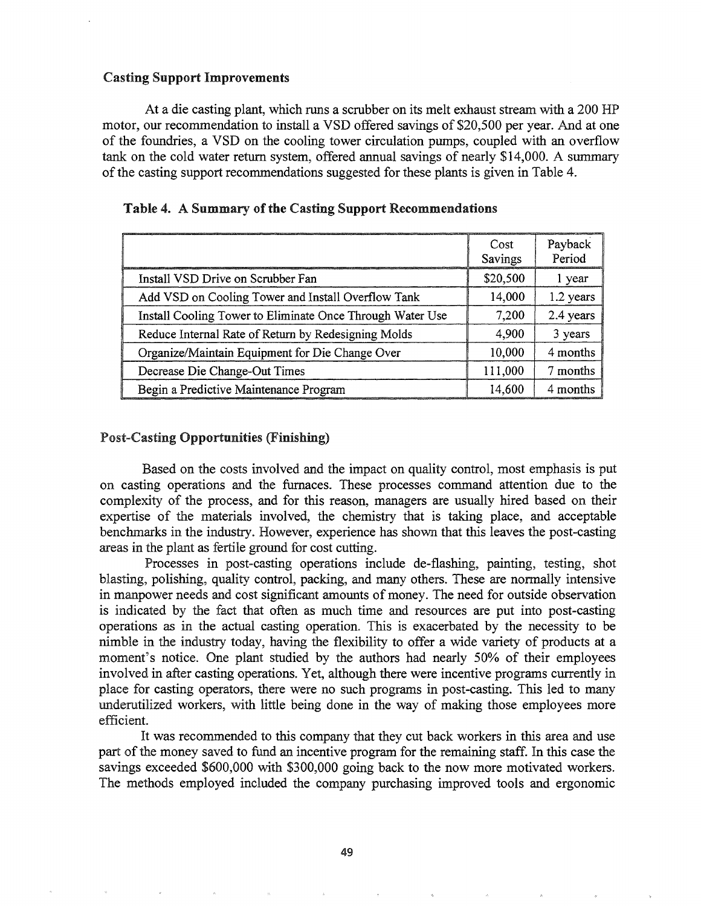### Casting Support Improvements

At a die casting plant, which runs a scrubber on its melt exhaust stream with a 200 HP motor, our recommendation to install a VSD offered savings of \$20,500 per year. And at one of the foundries, a VSD on the cooling tower circulation pumps, coupled with an overflow tank on the cold water return system, offered annual savings of nearly \$14,000. A summary of the casting support recommendations suggested for these plants is given in Table 4.

|                                                           | Cost<br>Savings | Payback<br>Period |
|-----------------------------------------------------------|-----------------|-------------------|
| Install VSD Drive on Scrubber Fan                         | \$20,500        | l year            |
| Add VSD on Cooling Tower and Install Overflow Tank        | 14,000          | 1.2 years         |
| Install Cooling Tower to Eliminate Once Through Water Use | 7,200           | 2.4 years         |
| Reduce Internal Rate of Return by Redesigning Molds       | 4,900           | 3 years           |
| Organize/Maintain Equipment for Die Change Over           | 10,000          | 4 months          |
| Decrease Die Change-Out Times                             | 111,000         | 7 months          |
| Begin a Predictive Maintenance Program                    | 14,600          | 4 months          |

|  |  | Table 4. A Summary of the Casting Support Recommendations |
|--|--|-----------------------------------------------------------|
|  |  |                                                           |

### Post-Casting Opportunities (Finishing)

Based on the costs involved and the impact on quality control, most emphasis is put on casting operations and the furnaces. These processes command attention due to the complexity of the process, and for this reason, managers are usually hired based on their expertise of the materials involved, the chemistry that is taking place, and acceptable benchmarks in the industry. However, experience has shown that this leaves the post-casting areas in the plant as fertile ground for cost cutting.

Processes in post-casting operations include de-flashing, painting, testing, shot blasting, polishing, quality control, packing, and many others. These are normally intensive in manpower needs and cost significant amounts of money. The need for outside observation is indicated by the fact that often as much time and resources are put into post-casting operations as in the actual casting operation. This is exacerbated by the necessity to be nimble in the industry today, having the flexibility to offer a wide variety of products at a moment's notice. One plant studied by the authors had nearly 50% of their employees involved in after casting operations. Yet, although there were incentive programs currently in place for casting operators, there were no such programs in post-casting. This led to many underutilized workers, with little being done in the way of making those employees more efficient.

It was recommended to this company that they cut back workers in this area and use part of the money saved to fund an incentive program for the remaining staff. In this case the savings exceeded \$600,000 with \$300,000 going back to the now more motivated workers. The methods employed included the company purchasing improved tools and ergonomic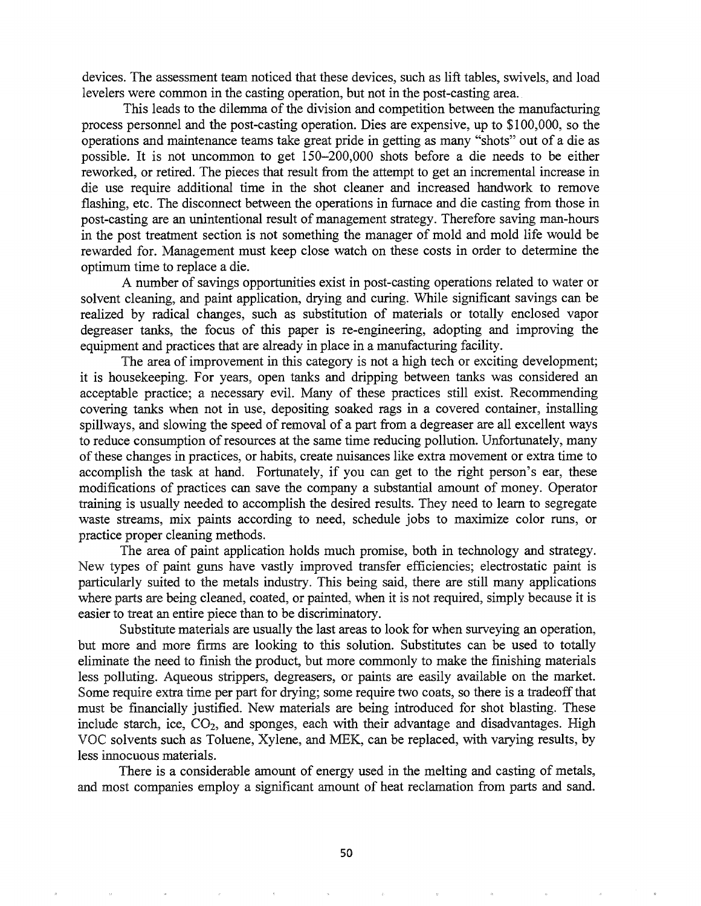devices. The assessment team noticed that these devices, such as lift tables, swivels, and load levelers were common in the casting operation, but not in the post-casting area.

This leads to the dilemma of the division and competition between the manufacturing process personnel and the post-casting operation. Dies are expensive, up to \$100,000, so the operations and maintenance teams take great pride in getting as many "shots" out of a die as possible. It is not uncommon to get 150-200,000 shots before a die needs to be either reworked, or retired. The pieces that result from the attempt to get an incremental increase in die use require additional time in the shot cleaner and increased handwork to remove flashing, etc. The disconnect between the operations in furnace and die casting from those in post-casting are an unintentional result of management strategy. Therefore saving man-hours in the post treatment section is not something the manager of mold and mold life would be rewarded for. Management must keep close watch on these costs in order to determine the optimum time to replace a die.

A number of savings opportunities exist in post-casting operations related to water or solvent cleaning, and paint application, drying and curing. While significant savings can be realized by radical changes, such as substitution of materials or totally enclosed vapor degreaser tanks, the focus of this paper is re-engineering, adopting and improving the equipment and practices that are already in place in a manufacturing facility.

The area of improvement in this category is not a high tech or exciting development; it is housekeeping. For years, open tanks and dripping between tanks was considered an acceptable practice; a necessary evil. Many of these practices still exist. Recommending covering tanks when not in use, depositing soaked rags in a covered container, installing spillways, and slowing the speed of removal of a part from a degreaser are all excellent ways to reduce consumption of resources at the same time reducing pollution. Unfortunately, many of these changes in practices, or habits, create nuisances like extra movement or extra time to accomplish the task at hand. Fortunately, if you can get to the right person's ear, these modifications of practices can save the company a substantial amount of money. Operator training is usually needed to accomplish the desired results. They need to learn to segregate waste streams, mix paints according to need, schedule jobs to maximize color runs, or practice proper cleaning methods.

The area of paint application holds much promise, both in technology and strategy. New types of paint guns have vastly improved transfer efficiencies; electrostatic paint is particularly suited to the metals industry. This being said, there are still many applications where parts are being cleaned, coated, or painted, when it is not required, simply because it is easier to treat an entire piece than to be discriminatory.

Substitute materials are usually the last areas to look for when surveying an operation, but more and more firms are looking to this solution. Substitutes can be used to totally eliminate the need to finish the product, but more commonly to make the finishing materials less polluting. Aqueous strippers, degreasers, or paints are easily available on the market. Some require extra time per part for drying; some require two coats, so there is a tradeoff that must be financially justified. New materials are being introduced for shot blasting. These include starch, ice,  $CO<sub>2</sub>$ , and sponges, each with their advantage and disadvantages. High VOC solvents such as Toluene, Xylene, and MEK, can be replaced, with varying results, by less innocuous materials.

There is a considerable amount of energy used in the melting and casting of metals, and most companies employ a significant amount of heat reclamation from parts and sand.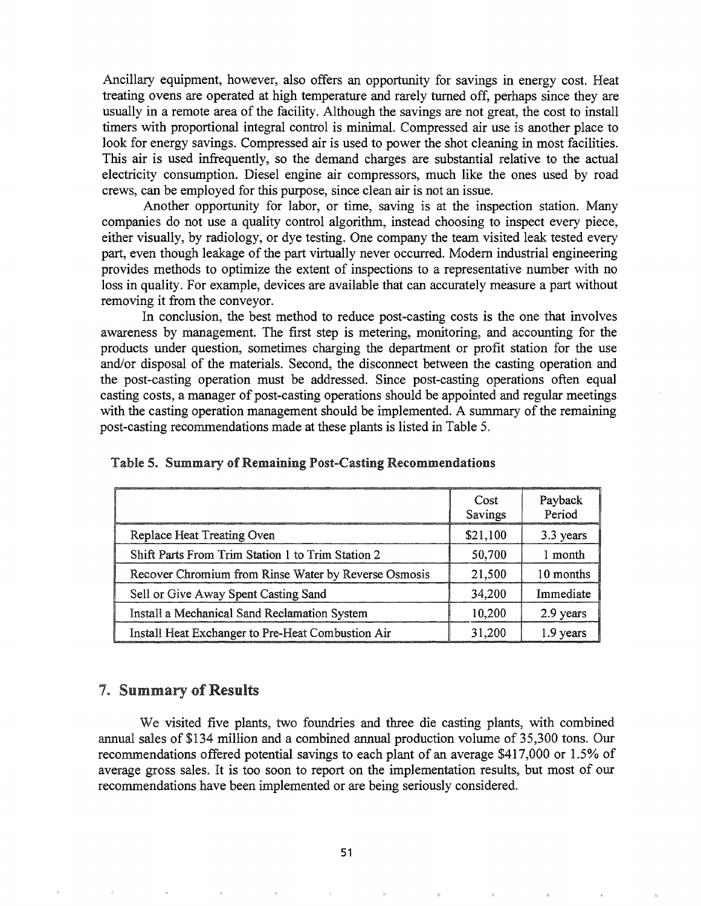Ancillary equipment, however, also offers an opportunity for savings in energy cost. Heat treating ovens are operated at high temperature and rarely turned off, perhaps since they are usually in a remote area of the facility. Although the savings are not great, the cost to install timers with proportional integral control is minimal. Compressed air use is another place to look for energy savings. Compressed air is used to power the shot cleaning in most facilities. This air is used infrequently, so the demand charges are substantial relative to the actual electricity consumption. Diesel engine air compressors, much like the ones used by road crews, can be employed for this purpose, since clean air is not an issue.

Another opportunity for labor, or time, saving is at the inspection station. Many companies do not use a quality control algorithm, instead choosing to inspect every piece, either visually, by radiology, or dye testing. One company the team visited leak tested every part, even though leakage of the part virtually never occurred. Modern industrial engineering provides methods to optimize the extent of inspections to a representative number with no loss in quality. For example, devices are available that can accurately measure a part without removing it from the conveyor.

In conclusion, the best method to reduce post-casting costs is the one that involves awareness by management. The first step is metering, monitoring, and accounting for the products under question, sometimes charging the department or profit station for the use and/or disposal of the materials. Second, the disconnect between the casting operation and the post-casting operation must be addressed. Since post-casting operations often equal casting costs, a manager of post-casting operations should be appointed and regular meetings with the casting operation management should be implemented. A summary of the remaining post-casting recommendations made at these plants is listed in Table 5.

|  |  | Table 5. Summary of Remaining Post-Casting Recommendations |
|--|--|------------------------------------------------------------|
|  |  |                                                            |

|                                                      | Cost<br>Savings | Payback<br>Period |
|------------------------------------------------------|-----------------|-------------------|
| Replace Heat Treating Oven                           | \$21,100        | 3.3 years         |
| Shift Parts From Trim Station 1 to Trim Station 2    | 50,700          | 1 month           |
| Recover Chromium from Rinse Water by Reverse Osmosis | 21,500          | 10 months         |
| Sell or Give Away Spent Casting Sand                 | 34,200          | Immediate         |
| Install a Mechanical Sand Reclamation System         | 10,200          | 2.9 years         |
| Install Heat Exchanger to Pre-Heat Combustion Air    | 31,200          | 1.9 years         |

#### **7. Summary of Results**

We visited five plants, two foundries and three die casting plants, with combined annual sales of \$134 million and a combined annual production volume of 35,300 tons. Our recommendations offered potential savings to each plant of an average \$417,000 or 1.5% of average gross sales. It is too soon to report on the implementation results, but most of our recommendations have been implemented or are being seriously considered.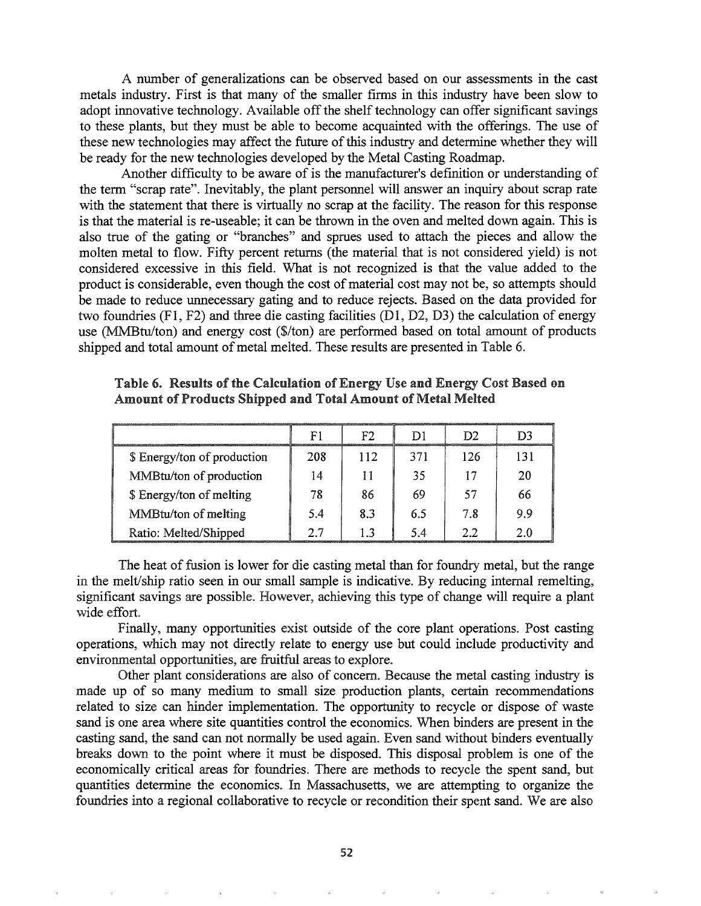A number of generalizations can be observed based on our assessments in the cast metals industry. First is that many of the smaller firms in this industry have been slow to adopt innovative technology. Available off the shelf technology can offer significant savings to these plants, but they must be able to become acquainted with the offerings. The use of these new technologies may affect the future of this industry and determine whether they will be ready for the new technologies developed by the Metal Casting Roadmap.

Another difficulty to be aware of is the manufacturer's definition or understanding of the term "scrap rate". Inevitably, the plant personnel will answer an inquiry about scrap rate with the statement that there is virtually no scrap at the facility. The reason for this response is that the material is re-useable; it can be thrown in the oven and melted down again. This is also true of the gating or "branches" and sprues used to attach the pieces and allow the molten metal to flow. Fifty percent returns (the material that is not considered yield) is not considered excessive in this field. What is not recognized is that the value added to the product is considerable, even though the cost of material cost may not be, so attempts should be made to reduce unnecessary gating and to reduce rejects. Based on the data provided for two foundries (Fl, F2) and three die casting facilities (Dl, D2, D3) the calculation of energy use (MMBtu/ton) and energy cost (\$/ton) are performed based on total amount of products shipped and total amount of metal melted. These results are presented in Table 6.

|                             | Ρ١  | ፑን  |     | D2  | D3  |
|-----------------------------|-----|-----|-----|-----|-----|
| \$ Energy/ton of production | 208 | 112 | 371 | 126 | 131 |
| MMBtu/ton of production     | 14  |     | 35  |     | 20  |
| \$ Energy/ton of melting    | 78  | 86  | 69  | 57  | 66  |
| MMBtu/ton of melting        | 5.4 | 8.3 | 6.5 | 7 R | 9.9 |
| Ratio: Melted/Shipped       | 27  |     | 54  | フフ  | 20  |

Table 6. Results of the Calculation of Energy Use and Energy Cost Based on Amount of Products Shipped and Total Amount of Metal Melted

The heat of fusion is lower for die casting metal than for foundry metal, but the range in the melt/ship ratio seen in our small sample is indicative. By reducing internal remelting, significant savings are possible. However, achieving this type of change will require a plant wide effort.

Finally, many opportunities exist outside of the core plant operations. Post casting operations, which may not directly relate to energy use but could include productivity and environmental opportunities, are fruitful areas to explore.

Other plant considerations are also of concern. Because the metal casting industry is made up of so many medium to small size production plants, certain recommendations related to size can hinder implementation. The opportunity to recycle or dispose of waste sand is one area where site quantities control the economics. When binders are present in the casting sand, the sand can not normally be used again. Even sand without binders eventually breaks down to the point where it must be disposed. This disposal problem is one of the economically critical areas for foundries. There are methods to recycle the spent sand, but quantities determine the economics. In Massachusetts, we are attempting to organize the foundries into a regional collaborative to recycle or recondition their spent sand. We are also